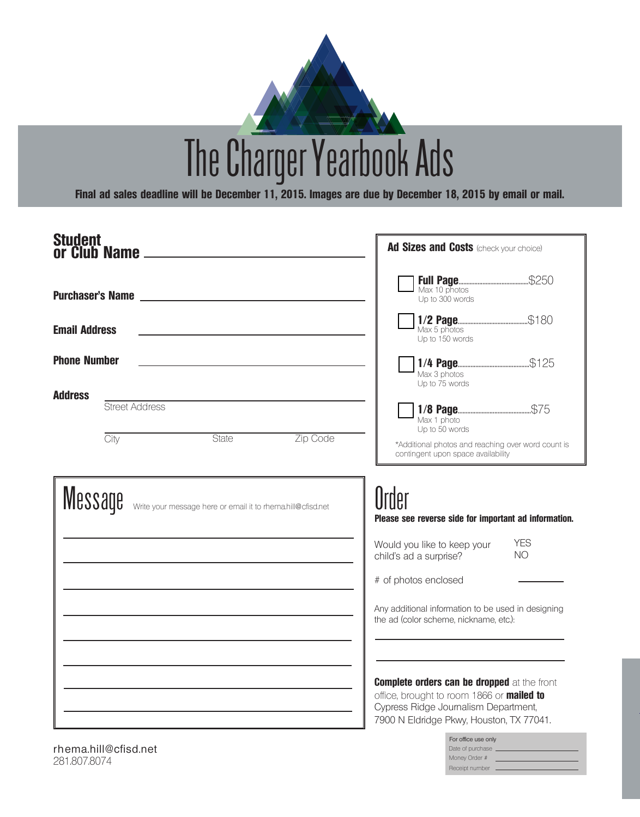

The Charger Yearbook Ads

**Final ad sales deadline will be December 11, 2015. Images are due by December 18, 2015 by email or mail.** 

| Student<br>or Club Name ______                                                                                                                                                                                                       | Ad Sizes and Costs (check your choice)                                                                                                                                                                                                                                                                                           |
|--------------------------------------------------------------------------------------------------------------------------------------------------------------------------------------------------------------------------------------|----------------------------------------------------------------------------------------------------------------------------------------------------------------------------------------------------------------------------------------------------------------------------------------------------------------------------------|
| <b>Purchaser's Name expansion of the Second Second Second Second Second Second Second Second Second Second Second Second Second Second Second Second Second Second Second Second Second Second Second Second Second Second Secon</b> | Up to 300 words                                                                                                                                                                                                                                                                                                                  |
| <b>Email Address</b>                                                                                                                                                                                                                 | Up to 150 words                                                                                                                                                                                                                                                                                                                  |
| <b>Phone Number</b>                                                                                                                                                                                                                  | Max 3 photos<br>Up to 75 words                                                                                                                                                                                                                                                                                                   |
| <b>Address</b><br>Street Address                                                                                                                                                                                                     | Max 1 photo<br>Up to 50 words                                                                                                                                                                                                                                                                                                    |
| Zip Code<br>State<br>City                                                                                                                                                                                                            | *Additional photos and reaching over word count is<br>contingent upon space availability                                                                                                                                                                                                                                         |
| Message<br>Write your message here or email it to rhema.hill@cfisd.net                                                                                                                                                               | Order<br>Please see reverse side for important ad information.<br><b>YES</b><br>Would you like to keep your<br><b>NO</b><br>child's ad a surprise?<br># of photos enclosed<br>Any additional information to be used in designing<br>the ad (color scheme, nickname, etc.):<br><b>Complete orders can be dropped at the front</b> |
|                                                                                                                                                                                                                                      | office, brought to room 1866 or mailed to<br>Cypress Ridge Journalism Department,<br>7900 N Eldridge Pkwy, Houston, TX 77041.                                                                                                                                                                                                    |

rhema.hill@cfisd.net 281.807.8074

Money Order # Receipt number -Date of purchase \_ For office use only